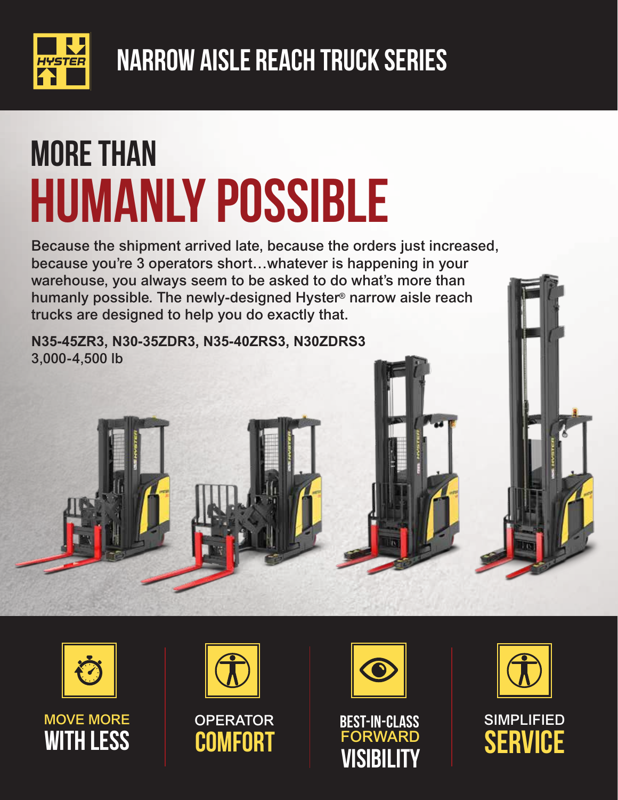

## MORE THAN HUMANLY POSSIBLE

Because the shipment arrived late, because the orders just increased, because you're 3 operators short...whatever is happening in your warehouse, you always seem to be asked to do what's more than humanly possible. The newly-designed Hyster® narrow aisle reach trucks are designed to help you do exactly that.

**N35-45ZR3, N30-35ZDR3, N35-40ZRS3, N30ZDRS3** 3,000-4,500 lb



MOVE MORE **WITH LESS** 



**OPERATOR COMFORT** 







SIMPLIFIED **SERVICE**